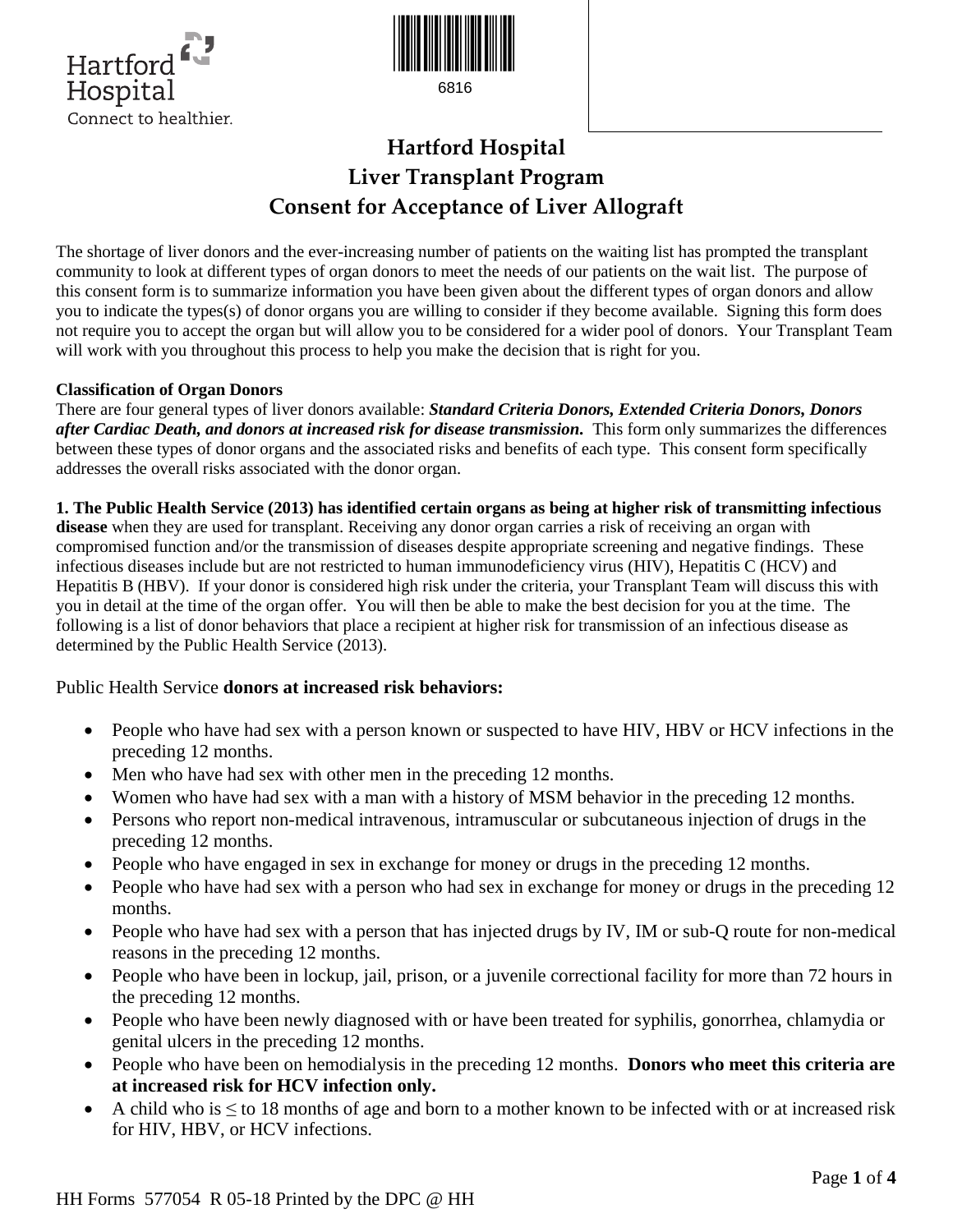



6816

# **Hartford Hospital Liver Transplant Program Consent for Acceptance of Liver Allograft**

The shortage of liver donors and the ever-increasing number of patients on the waiting list has prompted the transplant community to look at different types of organ donors to meet the needs of our patients on the wait list. The purpose of this consent form is to summarize information you have been given about the different types of organ donors and allow you to indicate the types(s) of donor organs you are willing to consider if they become available. Signing this form does not require you to accept the organ but will allow you to be considered for a wider pool of donors. Your Transplant Team will work with you throughout this process to help you make the decision that is right for you.

## **Classification of Organ Donors**

There are four general types of liver donors available: *Standard Criteria Donors, Extended Criteria Donors, Donors after Cardiac Death, and donors at increased risk for disease transmission.* This form only summarizes the differences between these types of donor organs and the associated risks and benefits of each type. This consent form specifically addresses the overall risks associated with the donor organ.

## **1. The Public Health Service (2013) has identified certain organs as being at higher risk of transmitting infectious**

**disease** when they are used for transplant. Receiving any donor organ carries a risk of receiving an organ with compromised function and/or the transmission of diseases despite appropriate screening and negative findings. These infectious diseases include but are not restricted to human immunodeficiency virus (HIV), Hepatitis C (HCV) and Hepatitis B (HBV). If your donor is considered high risk under the criteria, your Transplant Team will discuss this with you in detail at the time of the organ offer. You will then be able to make the best decision for you at the time. The following is a list of donor behaviors that place a recipient at higher risk for transmission of an infectious disease as determined by the Public Health Service (2013).

## Public Health Service **donors at increased risk behaviors:**

- People who have had sex with a person known or suspected to have HIV, HBV or HCV infections in the preceding 12 months.
- Men who have had sex with other men in the preceding 12 months.
- Women who have had sex with a man with a history of MSM behavior in the preceding 12 months.
- Persons who report non-medical intravenous, intramuscular or subcutaneous injection of drugs in the preceding 12 months.
- People who have engaged in sex in exchange for money or drugs in the preceding 12 months.
- People who have had sex with a person who had sex in exchange for money or drugs in the preceding 12 months.
- People who have had sex with a person that has injected drugs by IV, IM or sub-Q route for non-medical reasons in the preceding 12 months.
- People who have been in lockup, jail, prison, or a juvenile correctional facility for more than 72 hours in the preceding 12 months.
- People who have been newly diagnosed with or have been treated for syphilis, gonorrhea, chlamydia or genital ulcers in the preceding 12 months.
- People who have been on hemodialysis in the preceding 12 months. **Donors who meet this criteria are at increased risk for HCV infection only.**
- A child who is  $\leq$  to 18 months of age and born to a mother known to be infected with or at increased risk for HIV, HBV, or HCV infections.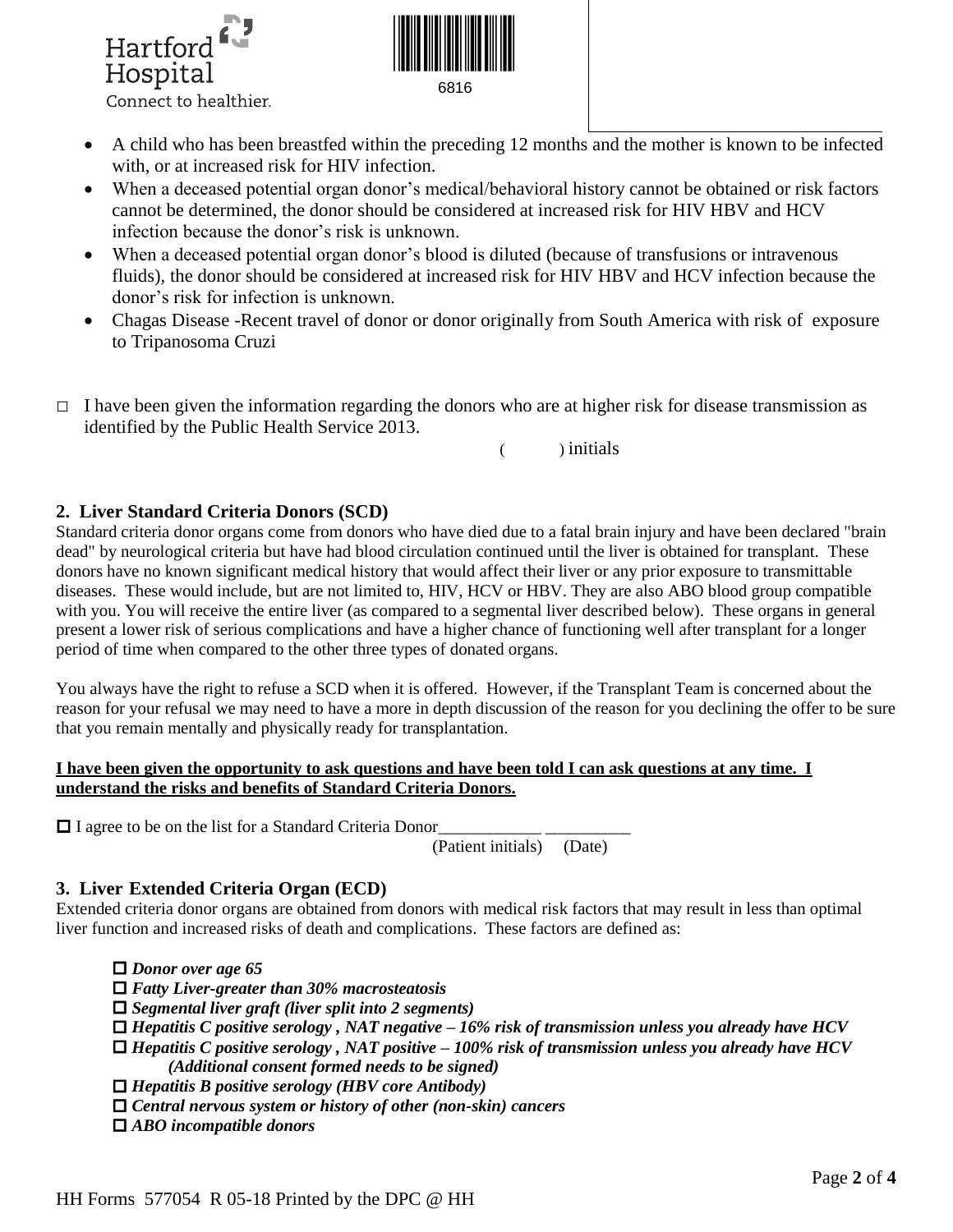



6816

- A child who has been breastfed within the preceding 12 months and the mother is known to be infected with, or at increased risk for HIV infection.
- When a deceased potential organ donor's medical/behavioral history cannot be obtained or risk factors cannot be determined, the donor should be considered at increased risk for HIV HBV and HCV infection because the donor's risk is unknown.
- When a deceased potential organ donor's blood is diluted (because of transfusions or intravenous fluids), the donor should be considered at increased risk for HIV HBV and HCV infection because the donor's risk for infection is unknown.
- Chagas Disease -Recent travel of donor or donor originally from South America with risk of exposure to Tripanosoma Cruzi
- $\Box$  I have been given the information regarding the donors who are at higher risk for disease transmission as identified by the Public Health Service 2013.

( ) initials

## **2. Liver Standard Criteria Donors (SCD)**

Standard criteria donor organs come from donors who have died due to a fatal brain injury and have been declared "brain dead" by neurological criteria but have had blood circulation continued until the liver is obtained for transplant. These donors have no known significant medical history that would affect their liver or any prior exposure to transmittable diseases. These would include, but are not limited to, HIV, HCV or HBV. They are also ABO blood group compatible with you. You will receive the entire liver (as compared to a segmental liver described below). These organs in general present a lower risk of serious complications and have a higher chance of functioning well after transplant for a longer period of time when compared to the other three types of donated organs.

You always have the right to refuse a SCD when it is offered. However, if the Transplant Team is concerned about the reason for your refusal we may need to have a more in depth discussion of the reason for you declining the offer to be sure that you remain mentally and physically ready for transplantation.

## **I have been given the opportunity to ask questions and have been told I can ask questions at any time. I understand the risks and benefits of Standard Criteria Donors.**

 $\Box$  I agree to be on the list for a Standard Criteria Donor

(Patient initials) (Date)

## **3. Liver Extended Criteria Organ (ECD)**

Extended criteria donor organs are obtained from donors with medical risk factors that may result in less than optimal liver function and increased risks of death and complications. These factors are defined as:

 *Donor over age 65 Fatty Liver-greater than 30% macrosteatosis Segmental liver graft (liver split into 2 segments) Hepatitis C positive serology , NAT negative – 16% risk of transmission unless you already have HCV Hepatitis C positive serology , NAT positive – 100% risk of transmission unless you already have HCV (Additional consent formed needs to be signed) Hepatitis B positive serology (HBV core Antibody) Central nervous system or history of other (non-skin) cancers ABO incompatible donors*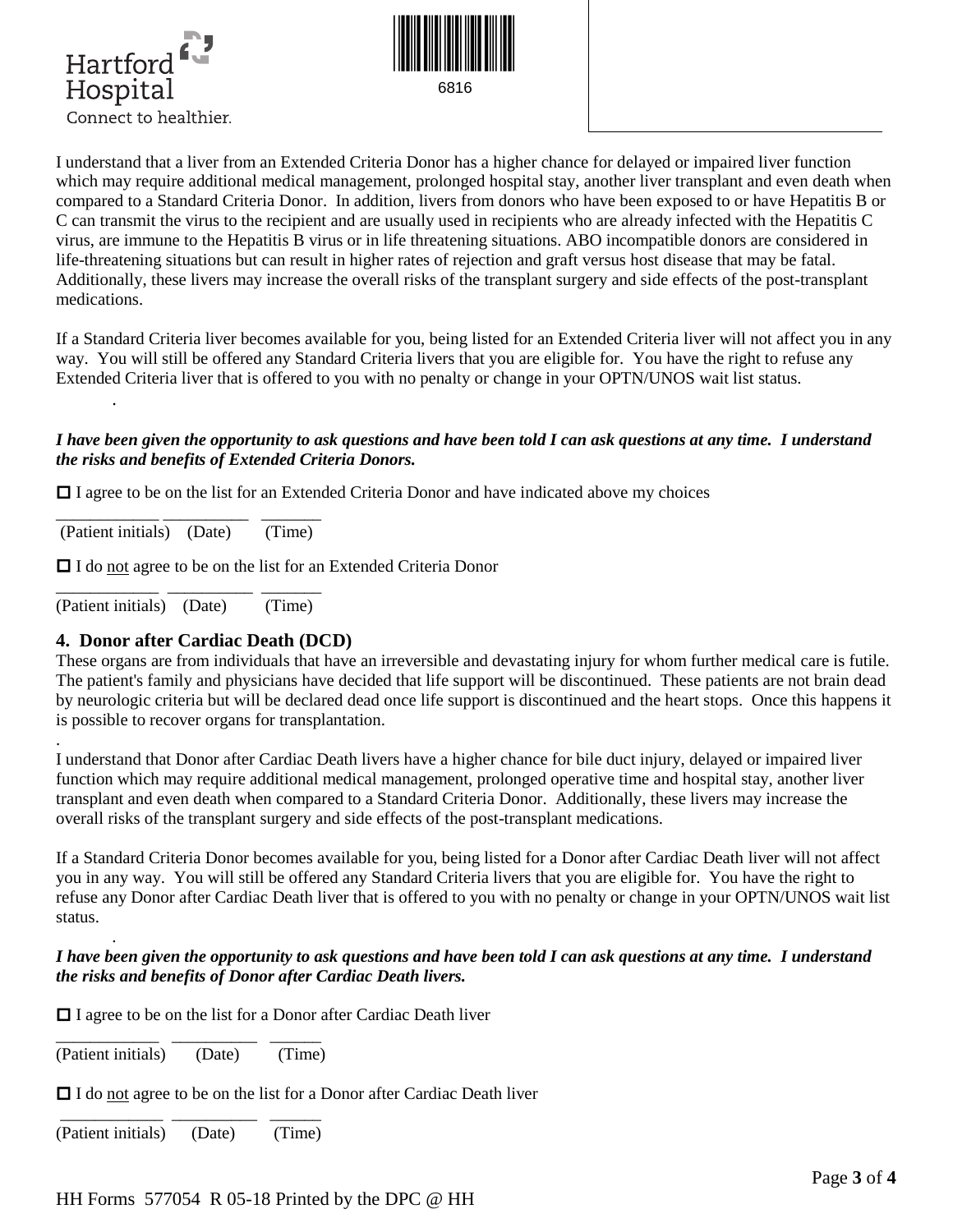



I understand that a liver from an Extended Criteria Donor has a higher chance for delayed or impaired liver function which may require additional medical management, prolonged hospital stay, another liver transplant and even death when compared to a Standard Criteria Donor. In addition, livers from donors who have been exposed to or have Hepatitis B or C can transmit the virus to the recipient and are usually used in recipients who are already infected with the Hepatitis C virus, are immune to the Hepatitis B virus or in life threatening situations. ABO incompatible donors are considered in life-threatening situations but can result in higher rates of rejection and graft versus host disease that may be fatal. Additionally, these livers may increase the overall risks of the transplant surgery and side effects of the post-transplant medications.

If a Standard Criteria liver becomes available for you, being listed for an Extended Criteria liver will not affect you in any way. You will still be offered any Standard Criteria livers that you are eligible for. You have the right to refuse any Extended Criteria liver that is offered to you with no penalty or change in your OPTN/UNOS wait list status. .

## *I have been given the opportunity to ask questions and have been told I can ask questions at any time. I understand the risks and benefits of Extended Criteria Donors.*

 $\Box$  I agree to be on the list for an Extended Criteria Donor and have indicated above my choices

\_\_\_\_\_\_\_\_\_\_\_\_ \_\_\_\_\_\_\_\_\_\_ \_\_\_\_\_\_\_ (Patient initials) (Date) (Time)

I do not agree to be on the list for an Extended Criteria Donor

\_\_\_\_\_\_\_\_\_\_\_\_ \_\_\_\_\_\_\_\_\_\_ \_\_\_\_\_\_\_ (Patient initials) (Date) (Time)

.

.

### **4. Donor after Cardiac Death (DCD)**

These organs are from individuals that have an irreversible and devastating injury for whom further medical care is futile. The patient's family and physicians have decided that life support will be discontinued. These patients are not brain dead by neurologic criteria but will be declared dead once life support is discontinued and the heart stops. Once this happens it is possible to recover organs for transplantation.

I understand that Donor after Cardiac Death livers have a higher chance for bile duct injury, delayed or impaired liver function which may require additional medical management, prolonged operative time and hospital stay, another liver transplant and even death when compared to a Standard Criteria Donor. Additionally, these livers may increase the overall risks of the transplant surgery and side effects of the post-transplant medications.

If a Standard Criteria Donor becomes available for you, being listed for a Donor after Cardiac Death liver will not affect you in any way. You will still be offered any Standard Criteria livers that you are eligible for. You have the right to refuse any Donor after Cardiac Death liver that is offered to you with no penalty or change in your OPTN/UNOS wait list status.

### *I have been given the opportunity to ask questions and have been told I can ask questions at any time. I understand the risks and benefits of Donor after Cardiac Death livers.*

 $\Box$  I agree to be on the list for a Donor after Cardiac Death liver

\_\_\_\_\_\_\_\_\_\_\_\_ \_\_\_\_\_\_\_\_\_\_ \_\_\_\_\_\_ (Patient initials) (Date) (Time)

□ I do not agree to be on the list for a Donor after Cardiac Death liver

\_\_\_\_\_\_\_\_\_\_\_\_ \_\_\_\_\_\_\_\_\_\_ \_\_\_\_\_\_ (Patient initials) (Date) (Time)